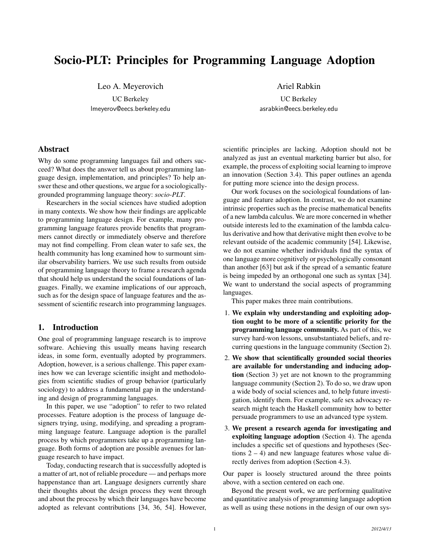# Socio-PLT: Principles for Programming Language Adoption

Leo A. Meyerovich

UC Berkeley lmeyerov@eecs.berkeley.edu Ariel Rabkin

UC Berkeley asrabkin@eecs.berkeley.edu

# Abstract

Why do some programming languages fail and others succeed? What does the answer tell us about programming language design, implementation, and principles? To help answer these and other questions, we argue for a sociologicallygrounded programming language theory: *socio-PLT*.

Researchers in the social sciences have studied adoption in many contexts. We show how their findings are applicable to programming language design. For example, many programming language features provide benefits that programmers cannot directly or immediately observe and therefore may not find compelling. From clean water to safe sex, the health community has long examined how to surmount similar observability barriers. We use such results from outside of programming language theory to frame a research agenda that should help us understand the social foundations of languages. Finally, we examine implications of our approach, such as for the design space of language features and the assessment of scientific research into programming languages.

# 1. Introduction

One goal of programming language research is to improve software. Achieving this usually means having research ideas, in some form, eventually adopted by programmers. Adoption, however, is a serious challenge. This paper examines how we can leverage scientific insight and methodologies from scientific studies of group behavior (particularly sociology) to address a fundamental gap in the understanding and design of programming languages.

In this paper, we use "adoption" to refer to two related processes. Feature adoption is the process of language designers trying, using, modifying, and spreading a programming language feature. Language adoption is the parallel process by which programmers take up a programming language. Both forms of adoption are possible avenues for language research to have impact.

Today, conducting research that is successfully adopted is a matter of art, not of reliable procedure — and perhaps more happenstance than art. Language designers currently share their thoughts about the design process they went through and about the process by which their languages have become adopted as relevant contributions [34, 36, 54]. However, scientific principles are lacking. Adoption should not be analyzed as just an eventual marketing barrier but also, for example, the process of exploiting social learning to improve an innovation (Section 3.4). This paper outlines an agenda for putting more science into the design process.

Our work focuses on the sociological foundations of language and feature adoption. In contrast, we do not examine intrinsic properties such as the precise mathematical benefits of a new lambda calculus. We are more concerned in whether outside interests led to the examination of the lambda calculus derivative and how that derivative might then evolve to be relevant outside of the academic community [54]. Likewise, we do not examine whether individuals find the syntax of one language more cognitively or psychologically consonant than another [63] but ask if the spread of a semantic feature is being impeded by an orthogonal one such as syntax [34]. We want to understand the social aspects of programming languages.

This paper makes three main contributions.

- 1. We explain why understanding and exploiting adoption ought to be more of a scientific priority for the programming language community. As part of this, we survey hard-won lessons, unsubstantiated beliefs, and recurring questions in the language community (Section 2).
- 2. We show that scientifically grounded social theories are available for understanding and inducing adoption (Section 3) yet are not known to the programming language community (Section 2). To do so, we draw upon a wide body of social sciences and, to help future investigation, identify them. For example, safe sex advocacy research might teach the Haskell community how to better persuade programmers to use an advanced type system.
- 3. We present a research agenda for investigating and exploiting language adoption (Section 4). The agenda includes a specific set of questions and hypotheses (Sections  $2 - 4$ ) and new language features whose value directly derives from adoption (Section 4.3).

Our paper is loosely structured around the three points above, with a section centered on each one.

Beyond the present work, we are performing qualitative and quantitative analysis of programming language adoption as well as using these notions in the design of our own sys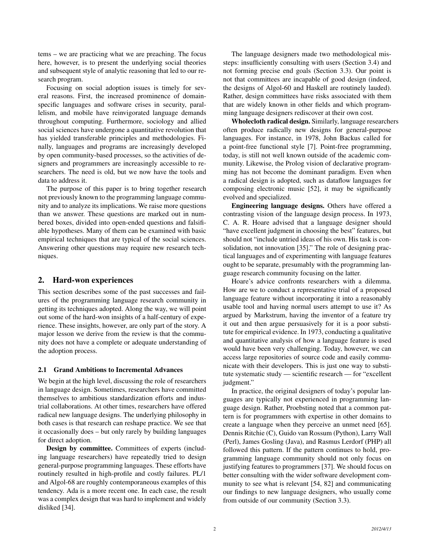tems – we are practicing what we are preaching. The focus here, however, is to present the underlying social theories and subsequent style of analytic reasoning that led to our research program.

Focusing on social adoption issues is timely for several reasons. First, the increased prominence of domainspecific languages and software crises in security, parallelism, and mobile have reinvigorated language demands throughout computing. Furthermore, sociology and allied social sciences have undergone a quantitative revolution that has yielded transferable principles and methodologies. Finally, languages and programs are increasingly developed by open community-based processes, so the activities of designers and programmers are increasingly accessible to researchers. The need is old, but we now have the tools and data to address it.

The purpose of this paper is to bring together research not previously known to the programming language community and to analyze its implications. We raise more questions than we answer. These questions are marked out in numbered boxes, divided into open-ended questions and falsifiable hypotheses. Many of them can be examined with basic empirical techniques that are typical of the social sciences. Answering other questions may require new research techniques.

# 2. Hard-won experiences

This section describes some of the past successes and failures of the programming language research community in getting its techniques adopted. Along the way, we will point out some of the hard-won insights of a half-century of experience. These insights, however, are only part of the story. A major lesson we derive from the review is that the community does not have a complete or adequate understanding of the adoption process.

## 2.1 Grand Ambitions to Incremental Advances

We begin at the high level, discussing the role of researchers in language design. Sometimes, researchers have committed themselves to ambitious standardization efforts and industrial collaborations. At other times, researchers have offered radical new language designs. The underlying philosophy in both cases is that research can reshape practice. We see that it occasionally does – but only rarely by building languages for direct adoption.

Design by committee. Committees of experts (including language researchers) have repeatedly tried to design general-purpose programming languages. These efforts have routinely resulted in high-profile and costly failures. PL/1 and Algol-68 are roughly contemporaneous examples of this tendency. Ada is a more recent one. In each case, the result was a complex design that was hard to implement and widely disliked [34].

The language designers made two methodological missteps: insufficiently consulting with users (Section 3.4) and not forming precise end goals (Section 3.3). Our point is not that committees are incapable of good design (indeed, the designs of Algol-60 and Haskell are routinely lauded). Rather, design committees have risks associated with them that are widely known in other fields and which programming language designers rediscover at their own cost.

Wholecloth radical design. Similarly, language researchers often produce radically new designs for general-purpose languages. For instance, in 1978, John Backus called for a point-free functional style [7]. Point-free programming, today, is still not well known outside of the academic community. Likewise, the Prolog vision of declarative programming has not become the dominant paradigm. Even when a radical design is adopted, such as dataflow languages for composing electronic music [52], it may be significantly evolved and specialized.

Engineering language designs. Others have offered a contrasting vision of the language design process. In 1973, C. A. R. Hoare advised that a language designer should "have excellent judgment in choosing the best" features, but should not "include untried ideas of his own. His task is consolidation, not innovation [35]." The role of designing practical languages and of experimenting with language features ought to be separate, presumably with the programming language research community focusing on the latter.

Hoare's advice confronts researchers with a dilemma. How are we to conduct a representative trial of a proposed language feature without incorporating it into a reasonably usable tool and having normal users attempt to use it? As argued by Markstrum, having the inventor of a feature try it out and then argue persuasively for it is a poor substitute for empirical evidence. In 1973, conducting a qualitative and quantitative analysis of how a language feature is used would have been very challenging. Today, however, we can access large repositories of source code and easily communicate with their developers. This is just one way to substitute systematic study — scientific research — for "excellent judgment."

In practice, the original designers of today's popular languages are typically not experienced in programming language design. Rather, Proebsting noted that a common pattern is for programmers with expertise in other domains to create a language when they perceive an unmet need [65]. Dennis Ritchie (C), Guido van Rossum (Python), Larry Wall (Perl), James Gosling (Java), and Rasmus Lerdorf (PHP) all followed this pattern. If the pattern continues to hold, programming language community should not only focus on justifying features to programmers [37]. We should focus on better consulting with the wider software development community to see what is relevant [54, 82] and communicating our findings to new language designers, who usually come from outside of our community (Section 3.3).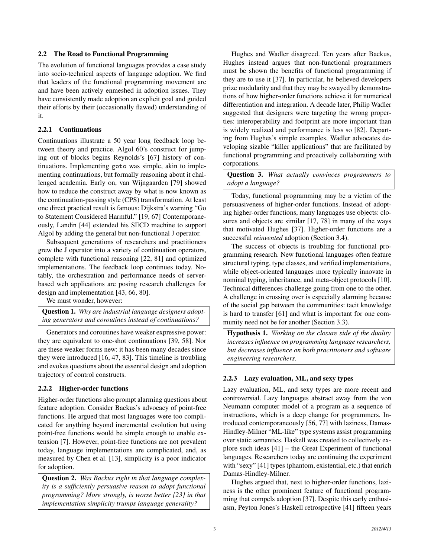## 2.2 The Road to Functional Programming

The evolution of functional languages provides a case study into socio-technical aspects of language adoption. We find that leaders of the functional programming movement are and have been actively enmeshed in adoption issues. They have consistently made adoption an explicit goal and guided their efforts by their (occasionally flawed) understanding of it.

# 2.2.1 Continuations

Continuations illustrate a 50 year long feedback loop between theory and practice. Algol 60's construct for jumping out of blocks begins Reynolds's [67] history of continuations. Implementing goto was simple, akin to implementing continuations, but formally reasoning about it challenged academia. Early on, van Wijngaarden [79] showed how to reduce the construct away by what is now known as the continuation-passing style (CPS) transformation. At least one direct practical result is famous: Dijkstra's warning "Go to Statement Considered Harmful." [19, 67] Contemporaneously, Landin [44] extended his SECD machine to support Algol by adding the general but non-functional J operator.

Subsequent generations of researchers and practitioners grew the J operator into a variety of continuation operators, complete with functional reasoning [22, 81] and optimized implementations. The feedback loop continues today. Notably, the orchestration and performance needs of serverbased web applications are posing research challenges for design and implementation [43, 66, 80].

We must wonder, however:

Question 1. *Why are industrial language designers adopting generators and coroutines instead of continuations?*

Generators and coroutines have weaker expressive power: they are equivalent to one-shot continuations [39, 58]. Nor are these weaker forms new: it has been many decades since they were introduced [16, 47, 83]. This timeline is troubling and evokes questions about the essential design and adoption trajectory of control constructs.

# 2.2.2 Higher-order functions

Higher-order functions also prompt alarming questions about feature adoption. Consider Backus's advocacy of point-free functions. He argued that most languages were too complicated for anything beyond incremental evolution but using point-free functions would be simple enough to enable extension [7]. However, point-free functions are not prevalent today, language implementations are complicated, and, as measured by Chen et al. [13], simplicity is a poor indicator for adoption.

Question 2. *Was Backus right in that language complexity is a sufficiently persuasive reason to adopt functional programming? More strongly, is worse better [23] in that implementation simplicity trumps language generality?*

Hughes and Wadler disagreed. Ten years after Backus, Hughes instead argues that non-functional programmers must be shown the benefits of functional programming if they are to use it [37]. In particular, he believed developers prize modularity and that they may be swayed by demonstrations of how higher-order functions achieve it for numerical differentiation and integration. A decade later, Philip Wadler suggested that designers were targeting the wrong properties: interoperability and footprint are more important than is widely realized and performance is less so [82]. Departing from Hughes's simple examples, Wadler advocates developing sizable "killer applications" that are facilitated by functional programming and proactively collaborating with corporations.

Question 3. *What actually convinces programmers to adopt a language?*

Today, functional programming may be a victim of the persuasiveness of higher-order functions. Instead of adopting higher-order functions, many languages use objects: closures and objects are similar [17, 78] in many of the ways that motivated Hughes [37]. Higher-order functions are a successful *reinvented* adoption (Section 3.4).

The success of objects is troubling for functional programming research. New functional languages often feature structural typing, type classes, and verified implementations, while object-oriented languages more typically innovate in nominal typing, inheritance, and meta-object protocols [10]. Technical differences challenge going from one to the other. A challenge in crossing over is especially alarming because of the social gap between the communities: tacit knowledge is hard to transfer [61] and what is important for one community need not be for another (Section 3.3).

Hypothesis 1. *Working on the closure side of the duality increases influence on programming language researchers, but decreases influence on both practitioners and software engineering researchers.*

# 2.2.3 Lazy evaluation, ML, and sexy types

Lazy evaluation, ML, and sexy types are more recent and controversial. Lazy languages abstract away from the von Neumann computer model of a program as a sequence of instructions, which is a deep change for programmers. Introduced contemporaneously [56, 77] with laziness, Damas-Hindley-Milner "ML-like" type systems assist programming over static semantics. Haskell was created to collectively explore such ideas [41] – the Great Experiment of functional languages. Researchers today are continuing the experiment with "sexy" [41] types (phantom, existential, etc.) that enrich Damas-Hindley-Milner.

Hughes argued that, next to higher-order functions, laziness is the other prominent feature of functional programming that compels adoption [37]. Despite this early enthusiasm, Peyton Jones's Haskell retrospective [41] fifteen years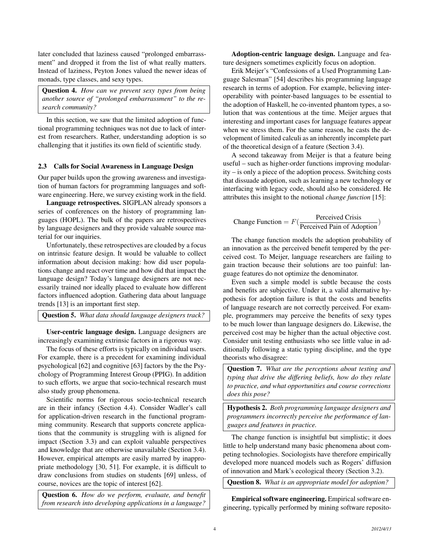later concluded that laziness caused "prolonged embarrassment" and dropped it from the list of what really matters. Instead of laziness, Peyton Jones valued the newer ideas of monads, type classes, and sexy types.

Question 4. *How can we prevent sexy types from being another source of "prolonged embarrassment" to the research community?*

In this section, we saw that the limited adoption of functional programming techniques was not due to lack of interest from researchers. Rather, understanding adoption is so challenging that it justifies its own field of scientific study.

#### 2.3 Calls for Social Awareness in Language Design

Our paper builds upon the growing awareness and investigation of human factors for programming languages and software engineering. Here, we survey existing work in the field.

Language retrospectives. SIGPLAN already sponsors a series of conferences on the history of programming languages (HOPL). The bulk of the papers are retrospectives by language designers and they provide valuable source material for our inquiries.

Unfortunately, these retrospectives are clouded by a focus on intrinsic feature design. It would be valuable to collect information about decision making: how did user populations change and react over time and how did that impact the language design? Today's language designers are not necessarily trained nor ideally placed to evaluate how different factors influenced adoption. Gathering data about language trends [13] is an important first step.

Question 5. *What data should language designers track?*

User-centric language design. Language designers are increasingly examining extrinsic factors in a rigorous way.

The focus of these efforts is typically on individual users. For example, there is a precedent for examining individual psychological [62] and cognitive [63] factors by the the Psychology of Programming Interest Group (PPIG). In addition to such efforts, we argue that socio-technical research must also study group phenomena.

Scientific norms for rigorous socio-technical research are in their infancy (Section 4.4). Consider Wadler's call for application-driven research in the functional programming community. Research that supports concrete applications that the community is struggling with is aligned for impact (Section 3.3) and can exploit valuable perspectives and knowledge that are otherwise unavailable (Section 3.4). However, empirical attempts are easily marred by inappropriate methodology [30, 51]. For example, it is difficult to draw conclusions from studies on students [69] unless, of course, novices are the topic of interest [62].

Question 6. *How do we perform, evaluate, and benefit from research into developing applications in a language?*

Adoption-centric language design. Language and feature designers sometimes explicitly focus on adoption.

Erik Meijer's "Confessions of a Used Programming Language Salesman" [54] describes his programming language research in terms of adoption. For example, believing interoperability with pointer-based languages to be essential to the adoption of Haskell, he co-invented phantom types, a solution that was contentious at the time. Meijer argues that interesting and important cases for language features appear when we stress them. For the same reason, he casts the development of limited calculi as an inherently incomplete part of the theoretical design of a feature (Section 3.4).

A second takeaway from Meijer is that a feature being useful – such as higher-order functions improving modularity – is only a piece of the adoption process. Switching costs that dissuade adoption, such as learning a new technology or interfacing with legacy code, should also be considered. He attributes this insight to the notional *change function* [15]:

Change Function = 
$$
F(\text{Perceived Crisis}\atop \text{Perceived Pain of Adoption})
$$

The change function models the adoption probability of an innovation as the perceived benefit tempered by the perceived cost. To Meijer, language researchers are failing to gain traction because their solutions are too painful: language features do not optimize the denominator.

Even such a simple model is subtle because the costs and benefits are subjective. Under it, a valid alternative hypothesis for adoption failure is that the costs and benefits of language research are not correctly perceived. For example, programmers may perceive the benefits of sexy types to be much lower than language designers do. Likewise, the perceived cost may be higher than the actual objective cost. Consider unit testing enthusiasts who see little value in additionally following a static typing discipline, and the type theorists who disagree:

Question 7. *What are the perceptions about testing and typing that drive the differing beliefs, how do they relate to practice, and what opportunities and course corrections does this pose?*

Hypothesis 2. *Both programming language designers and programmers incorrectly perceive the performance of languages and features in practice.*

The change function is insightful but simplistic; it does little to help understand many basic phenomena about competing technologies. Sociologists have therefore empirically developed more nuanced models such as Rogers' diffusion of innovation and Mark's ecological theory (Section 3.2).

Question 8. *What is an appropriate model for adoption?*

Empirical software engineering. Empirical software engineering, typically performed by mining software reposito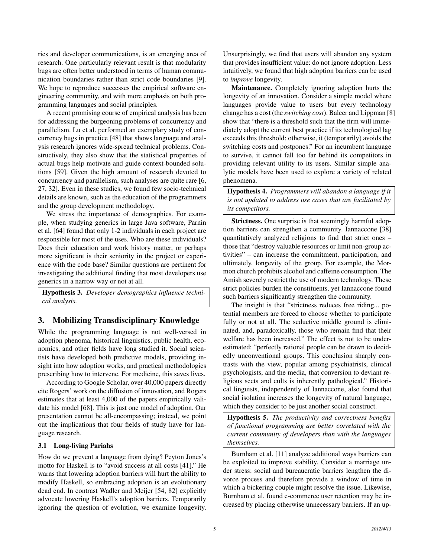ries and developer communications, is an emerging area of research. One particularly relevant result is that modularity bugs are often better understood in terms of human communication boundaries rather than strict code boundaries [9]. We hope to reproduce successes the empirical software engineering community, and with more emphasis on both programming languages and social principles.

A recent promising course of empirical analysis has been for addressing the burgeoning problems of concurrency and parallelism. Lu et al. performed an exemplary study of concurrency bugs in practice [48] that shows language and analysis research ignores wide-spread technical problems. Constructively, they also show that the statistical properties of actual bugs help motivate and guide context-bounded solutions [59]. Given the high amount of research devoted to concurrency and parallelism, such analyses are quite rare [6, 27, 32]. Even in these studies, we found few socio-technical details are known, such as the education of the programmers and the group development methodology.

We stress the importance of demographics. For example, when studying generics in large Java software, Parnin et al. [64] found that only 1-2 individuals in each project are responsible for most of the uses. Who are these individuals? Does their education and work history matter, or perhaps more significant is their seniority in the project or experience with the code base? Similar questions are pertinent for investigating the additional finding that most developers use generics in a narrow way or not at all.

Hypothesis 3. *Developer demographics influence technical analysis.*

# 3. Mobilizing Transdisciplinary Knowledge

While the programming language is not well-versed in adoption phenoma, historical linguistics, public health, economics, and other fields have long studied it. Social scientists have developed both predictive models, providing insight into how adoption works, and practical methodologies prescribing how to intervene. For medicine, this saves lives.

According to Google Scholar, over 40,000 papers directly cite Rogers' work on the diffusion of innovation, and Rogers estimates that at least 4,000 of the papers empirically validate his model [68]. This is just one model of adoption. Our presentation cannot be all-encompassing; instead, we point out the implications that four fields of study have for language research.

## 3.1 Long-living Pariahs

How do we prevent a language from dying? Peyton Jones's motto for Haskell is to "avoid success at all costs [41]." He warns that lowering adoption barriers will hurt the ability to modify Haskell, so embracing adoption is an evolutionary dead end. In contrast Wadler and Meijer [54, 82] explicitly advocate lowering Haskell's adoption barriers. Temporarily ignoring the question of evolution, we examine longevity.

Unsurprisingly, we find that users will abandon any system that provides insufficient value: do not ignore adoption. Less intuitively, we found that high adoption barriers can be used to *improve* longevity.

Maintenance. Completely ignoring adoption hurts the longevity of an innovation. Consider a simple model where languages provide value to users but every technology change has a cost (the *switching cost*). Balcer and Lippman [8] show that "there is a threshold such that the firm will immediately adopt the current best practice if its technological lag exceeds this threshold; otherwise, it (temporarily) avoids the switching costs and postpones." For an incumbent language to survive, it cannot fall too far behind its competitors in providing relevant utility to its users. Similar simple analytic models have been used to explore a variety of related phenomena.

Hypothesis 4. *Programmers will abandon a language if it is not updated to address use cases that are facilitated by its competitors.*

Strictness. One surprise is that seemingly harmful adoption barriers can strengthen a community. Iannaccone [38] quantitatively analyzed religions to find that strict ones – those that "destroy valuable resources or limit non-group activities" – can increase the commitment, participation, and ultimately, longevity of the group. For example, the Mormon church prohibits alcohol and caffeine consumption. The Amish severely restrict the use of modern technology. These strict policies burden the constituents, yet Iannaccone found such barriers significantly strengthen the community.

The insight is that "strictness reduces free riding... potential members are forced to choose whether to participate fully or not at all. The seductive middle ground is eliminated, and, paradoxically, those who remain find that their welfare has been increased." The effect is not to be underestimated: "perfectly rational people can be drawn to decidedly unconventional groups. This conclusion sharply contrasts with the view, popular among psychiatrists, clinical psychologists, and the media, that conversion to deviant religious sects and cults is inherently pathological." Historical linguists, independently of Iannaccone, also found that social isolation increases the longevity of natural language, which they consider to be just another social construct.

Hypothesis 5. *The productivity and correctness benefits of functional programming are better correlated with the current community of developers than with the languages themselves.*

Burnham et al. [11] analyze additional ways barriers can be exploited to improve stability. Consider a marriage under stress: social and bureaucratic barriers lengthen the divorce process and therefore provide a window of time in which a bickering couple might resolve the issue. Likewise, Burnham et al. found e-commerce user retention may be increased by placing otherwise unnecessary barriers. If an up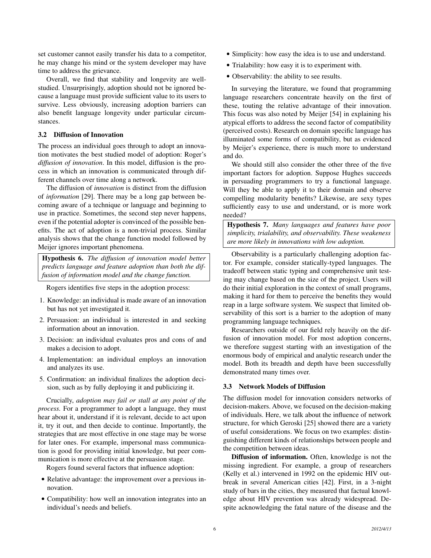set customer cannot easily transfer his data to a competitor, he may change his mind or the system developer may have time to address the grievance.

Overall, we find that stability and longevity are wellstudied. Unsurprisingly, adoption should not be ignored because a language must provide sufficient value to its users to survive. Less obviously, increasing adoption barriers can also benefit language longevity under particular circumstances.

## 3.2 Diffusion of Innovation

The process an individual goes through to adopt an innovation motivates the best studied model of adoption: Roger's *diffusion of innovation*. In this model, diffusion is the process in which an innovation is communicated through different channels over time along a network.

The diffusion of *innovation* is distinct from the diffusion of *information* [29]. There may be a long gap between becoming aware of a technique or language and beginning to use in practice. Sometimes, the second step never happens, even if the potential adopter is convinced of the possible benefits. The act of adoption is a non-trivial process. Similar analysis shows that the change function model followed by Meijer ignores important phenomena.

Hypothesis 6. *The diffusion of innovation model better predicts language and feature adoption than both the diffusion of information model and the change function.*

Rogers identifies five steps in the adoption process:

- 1. Knowledge: an individual is made aware of an innovation but has not yet investigated it.
- 2. Persuasion: an individual is interested in and seeking information about an innovation.
- 3. Decision: an individual evaluates pros and cons of and makes a decision to adopt.
- 4. Implementation: an individual employs an innovation and analyzes its use.
- 5. Confirmation: an individual finalizes the adoption decision, such as by fully deploying it and publicizing it.

Crucially, *adoption may fail or stall at any point of the process.* For a programmer to adopt a language, they must hear about it, understand if it is relevant, decide to act upon it, try it out, and then decide to continue. Importantly, the strategies that are most effective in one stage may be worse for later ones. For example, impersonal mass communication is good for providing initial knowledge, but peer communication is more effective at the persuasion stage.

Rogers found several factors that influence adoption:

- Relative advantage: the improvement over a previous innovation.
- Compatibility: how well an innovation integrates into an individual's needs and beliefs.
- Simplicity: how easy the idea is to use and understand.
- Trialability: how easy it is to experiment with.
- Observability: the ability to see results.

In surveying the literature, we found that programming language researchers concentrate heavily on the first of these, touting the relative advantage of their innovation. This focus was also noted by Meijer [54] in explaining his atypical efforts to address the second factor of compatibility (perceived costs). Research on domain specific language has illuminated some forms of compatibility, but as evidenced by Meijer's experience, there is much more to understand and do.

We should still also consider the other three of the five important factors for adoption. Suppose Hughes succeeds in persuading programmers to try a functional language. Will they be able to apply it to their domain and observe compelling modularity benefits? Likewise, are sexy types sufficiently easy to use and understand, or is more work needed?

Hypothesis 7. *Many languages and features have poor simplicity, trialability, and observability. These weakeness are more likely in innovations with low adoption.*

Observability is a particularly challenging adoption factor. For example, consider statically-typed languages. The tradeoff between static typing and comprehensive unit testing may change based on the size of the project. Users will do their initial exploration in the context of small programs, making it hard for them to perceive the benefits they would reap in a large software system. We suspect that limited observability of this sort is a barrier to the adoption of many programming language techniques.

Researchers outside of our field rely heavily on the diffusion of innovation model. For most adoption concerns, we therefore suggest starting with an investigation of the enormous body of empirical and analytic research under the model. Both its breadth and depth have been successfully demonstrated many times over.

## 3.3 Network Models of Diffusion

The diffusion model for innovation considers networks of decision-makers. Above, we focused on the decision-making of individuals. Here, we talk about the influence of network structure, for which Geroski [25] showed there are a variety of useful considerations. We focus on two examples: distinguishing different kinds of relationships between people and the competition between ideas.

Diffusion of information. Often, knowledge is not the missing ingredient. For example, a group of researchers (Kelly et al.) intervened in 1992 on the epidemic HIV outbreak in several American cities [42]. First, in a 3-night study of bars in the cities, they measured that factual knowledge about HIV prevention was already widespread. Despite acknowledging the fatal nature of the disease and the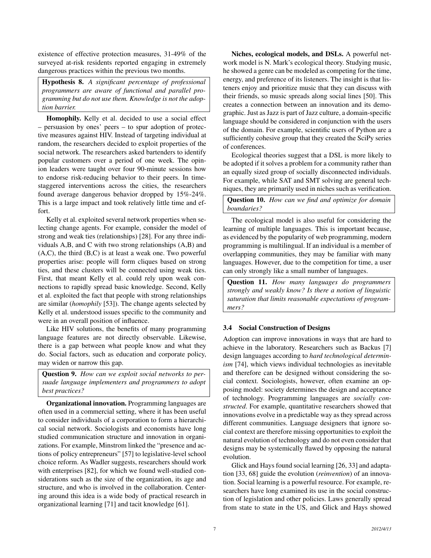existence of effective protection measures, 31-49% of the surveyed at-risk residents reported engaging in extremely dangerous practices within the previous two months.

Hypothesis 8. *A significant percentage of professional programmers are aware of functional and parallel programming but do not use them. Knowledge is not the adoption barrier.*

Homophily. Kelly et al. decided to use a social effect – persuasion by ones' peers – to spur adoption of protective measures against HIV. Instead of targeting individual at random, the researchers decided to exploit properties of the social network. The researchers asked bartenders to identify popular customers over a period of one week. The opinion leaders were taught over four 90-minute sessions how to endorse risk-reducing behavior to their peers. In timestaggered interventions across the cities, the researchers found average dangerous behavior dropped by 15%-24%. This is a large impact and took relatively little time and effort.

Kelly et al. exploited several network properties when selecting change agents. For example, consider the model of strong and weak ties (relationships) [28]. For any three individuals A,B, and C with two strong relationships (A,B) and (A,C), the third (B,C) is at least a weak one. Two powerful properties arise: people will form cliques based on strong ties, and these clusters will be connected using weak ties. First, that meant Kelly et al. could rely upon weak connections to rapidly spread basic knowledge. Second, Kelly et al. exploited the fact that people with strong relationships are similar (*homophily* [53]). The change agents selected by Kelly et al. understood issues specific to the community and were in an overall position of influence.

Like HIV solutions, the benefits of many programming language features are not directly observable. Likewise, there is a gap between what people know and what they do. Social factors, such as education and corporate policy, may widen or narrow this gap.

Question 9. *How can we exploit social networks to persuade language implementers and programmers to adopt best practices?*

Organizational innovation. Programming languages are often used in a commercial setting, where it has been useful to consider individuals of a corporation to form a hierarchical social network. Sociologists and economists have long studied communication structure and innovation in organizations. For example, Minstrom linked the "presence and actions of policy entrepreneurs" [57] to legislative-level school choice reform. As Wadler suggests, researchers should work with enterprises [82], for which we found well-studied considerations such as the size of the organization, its age and structure, and who is involved in the collaboration. Centering around this idea is a wide body of practical research in organizational learning [71] and tacit knowledge [61].

Niches, ecological models, and DSLs. A powerful network model is N. Mark's ecological theory. Studying music, he showed a genre can be modeled as competing for the time, energy, and preference of its listeners. The insight is that listeners enjoy and prioritize music that they can discuss with their friends, so music spreads along social lines [50]. This creates a connection between an innovation and its demographic. Just as Jazz is part of Jazz culture, a domain-specific language should be considered in conjunction with the users of the domain. For example, scientific users of Python are a sufficiently cohesive group that they created the SciPy series of conferences.

Ecological theories suggest that a DSL is more likely to be adopted if it solves a problem for a community rather than an equally sized group of socially disconnected individuals. For example, while SAT and SMT solving are general techniques, they are primarily used in niches such as verification.

Question 10. *How can we find and optimize for domain boundaries?*

The ecological model is also useful for considering the learning of multiple languages. This is important because, as evidenced by the popularity of web programming, modern programming is multilingual. If an individual is a member of overlapping communities, they may be familiar with many languages. However, due to the competition for time, a user can only strongly like a small number of languages.

Question 11. *How many languages do programmers strongly and weakly know? Is there a notion of linguistic saturation that limits reasonable expectations of programmers?*

# 3.4 Social Construction of Designs

Adoption can improve innovations in ways that are hard to achieve in the laboratory. Researchers such as Backus [7] design languages according to *hard technological determinism* [74], which views individual technologies as inevitable and therefore can be designed without considering the social context. Sociologists, however, often examine an opposing model: society determines the design and acceptance of technology. Programming languages are *socially constructed*. For example, quantitative researchers showed that innovations evolve in a predictable way as they spread across different communities. Language designers that ignore social context are therefore missing opportunities to exploit the natural evolution of technology and do not even consider that designs may be systemically flawed by opposing the natural evolution.

Glick and Hays found social learning [26, 33] and adaptation [33, 68] guide the evolution (*reinvention*) of an innovation. Social learning is a powerful resource. For example, researchers have long examined its use in the social construction of legislation and other policies. Laws generally spread from state to state in the US, and Glick and Hays showed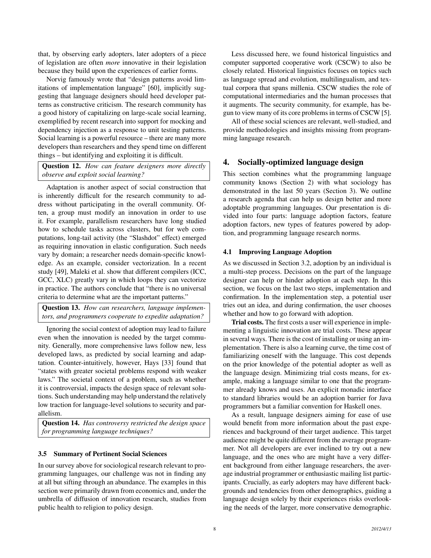that, by observing early adopters, later adopters of a piece of legislation are often *more* innovative in their legislation because they build upon the experiences of earlier forms.

Norvig famously wrote that "design patterns avoid limitations of implementation language" [60], implicitly suggesting that language designers should heed developer patterns as constructive criticism. The research community has a good history of capitalizing on large-scale social learning, exemplified by recent research into support for mocking and dependency injection as a response to unit testing patterns. Social learning is a powerful resource – there are many more developers than researchers and they spend time on different things – but identifying and exploiting it is difficult.

Question 12. *How can feature designers more directly observe and exploit social learning?*

Adaptation is another aspect of social construction that is inherently difficult for the research community to address without participating in the overall community. Often, a group must modify an innovation in order to use it. For example, parallelism researchers have long studied how to schedule tasks across clusters, but for web computations, long-tail activity (the "Slashdot" effect) emerged as requiring innovation in elastic configuration. Such needs vary by domain; a researcher needs domain-specific knowledge. As an example, consider vectorization. In a recent study [49], Maleki et al. show that different compilers (ICC, GCC, XLC) greatly vary in which loops they can vectorize in practice. The authors conclude that "there is no universal criteria to determine what are the important patterns."

Question 13. *How can researchers, language implementors, and programmers cooperate to expedite adaptation?*

Ignoring the social context of adoption may lead to failure even when the innovation is needed by the target community. Generally, more comprehensive laws follow new, less developed laws, as predicted by social learning and adaptation. Counter-intuitively, however, Hays [33] found that "states with greater societal problems respond with weaker laws." The societal context of a problem, such as whether it is controversial, impacts the design space of relevant solutions. Such understanding may help understand the relatively low traction for language-level solutions to security and parallelism.

Question 14. *Has controversy restricted the design space for programming language techniques?*

#### 3.5 Summary of Pertinent Social Sciences

In our survey above for sociological research relevant to programming languages, our challenge was not in finding any at all but sifting through an abundance. The examples in this section were primarily drawn from economics and, under the umbrella of diffusion of innovation research, studies from public health to religion to policy design.

Less discussed here, we found historical linguistics and computer supported cooperative work (CSCW) to also be closely related. Historical linguistics focuses on topics such as language spread and evolution, multilingualism, and textual corpora that spans millenia. CSCW studies the role of computational intermediaries and the human processes that it augments. The security community, for example, has begun to view many of its core problems in terms of CSCW [5].

All of these social sciences are relevant, well-studied, and provide methodologies and insights missing from programming language research.

# 4. Socially-optimized language design

This section combines what the programming language community knows (Section 2) with what sociology has demonstrated in the last 50 years (Section 3). We outline a research agenda that can help us design better and more adoptable programming languages. Our presentation is divided into four parts: language adoption factors, feature adoption factors, new types of features powered by adoption, and programming language research norms.

#### 4.1 Improving Language Adoption

As we discussed in Section 3.2, adoption by an individual is a multi-step process. Decisions on the part of the language designer can help or hinder adoption at each step. In this section, we focus on the last two steps, implementation and confirmation. In the implementation step, a potential user tries out an idea, and during confirmation, the user chooses whether and how to go forward with adoption.

Trial costs. The first costs a user will experience in implementing a linguistic innovation are trial costs. These appear in several ways. There is the cost of installing or using an implementation. There is also a learning curve, the time cost of familiarizing oneself with the language. This cost depends on the prior knowledge of the potential adopter as well as the language design. Minimizing trial costs means, for example, making a language similar to one that the programmer already knows and uses. An explicit monadic interface to standard libraries would be an adoption barrier for Java programmers but a familiar convention for Haskell ones.

As a result, language designers aiming for ease of use would benefit from more information about the past experiences and background of their target audience. This target audience might be quite different from the average programmer. Not all developers are ever inclined to try out a new language, and the ones who are might have a very different background from either language researchers, the average industrial programmer or enthusiastic mailing list participants. Crucially, as early adopters may have different backgrounds and tendencies from other demographics, guiding a language design solely by their experiences risks overlooking the needs of the larger, more conservative demographic.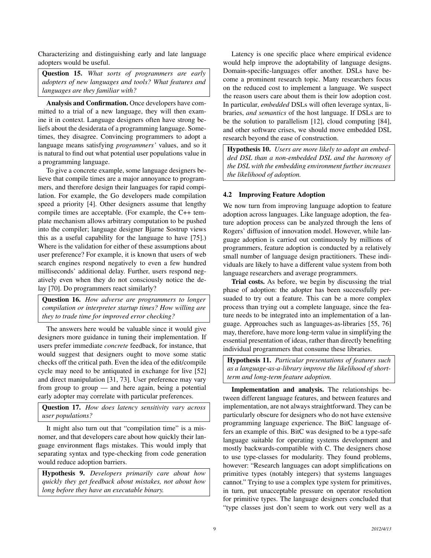Characterizing and distinguishing early and late language adopters would be useful.

Question 15. *What sorts of programmers are early adopters of new languages and tools? What features and languages are they familiar with?*

Analysis and Confirmation. Once developers have committed to a trial of a new language, they will then examine it in context. Language designers often have strong beliefs about the desiderata of a programming language. Sometimes, they disagree. Convincing programmers to adopt a language means satisfying *programmers'* values, and so it is natural to find out what potential user populations value in a programming language.

To give a concrete example, some language designers believe that compile times are a major annoyance to programmers, and therefore design their languages for rapid compilation. For example, the Go developers made compilation speed a priority [4]. Other designers assume that lengthy compile times are acceptable. (For example, the C++ template mechanism allows arbitrary computation to be pushed into the compiler; language designer Bjarne Sostrup views this as a useful capability for the language to have [75].) Where is the validation for either of these assumptions about user preference? For example, it is known that users of web search engines respond negatively to even a few hundred milliseconds' additional delay. Further, users respond negatively even when they do not consciously notice the delay [70]. Do programmers react similarly?

Question 16. *How adverse are programmers to longer compilation or interpreter startup times? How willing are they to trade time for improved error checking?*

The answers here would be valuable since it would give designers more guidance in tuning their implementation. If users prefer immediate *concrete* feedback, for instance, that would suggest that designers ought to move some static checks off the critical path. Even the idea of the edit/compile cycle may need to be antiquated in exchange for live [52] and direct manipulation [31, 73]. User preference may vary from group to group — and here again, being a potential early adopter may correlate with particular preferences.

Question 17. *How does latency sensitivity vary across user populations?*

It might also turn out that "compilation time" is a misnomer, and that developers care about how quickly their language environment flags mistakes. This would imply that separating syntax and type-checking from code generation would reduce adoption barriers.

Hypothesis 9. *Developers primarily care about how quickly they get feedback about mistakes, not about how long before they have an executable binary.*

Latency is one specific place where empirical evidence would help improve the adoptability of language designs. Domain-specific-languages offer another. DSLs have become a prominent research topic. Many researchers focus on the reduced cost to implement a language. We suspect the reason users care about them is their low adoption cost. In particular, *embedded* DSLs will often leverage syntax, libraries, *and semantics* of the host language. If DSLs are to be the solution to parallelism [12], cloud computing [84], and other software crises, we should move embedded DSL research beyond the ease of construction.

Hypothesis 10. *Users are more likely to adopt an embedded DSL than a non-embedded DSL and the harmony of the DSL with the embedding environment further increases the likelihood of adoption.*

# 4.2 Improving Feature Adoption

We now turn from improving language adoption to feature adoption across languages. Like language adoption, the feature adoption process can be analyzed through the lens of Rogers' diffusion of innovation model. However, while language adoption is carried out continuously by millions of programmers, feature adoption is conducted by a relatively small number of language design practitioners. These individuals are likely to have a different value system from both language researchers and average programmers.

Trial costs. As before, we begin by discussing the trial phase of adoption: the adopter has been successfully persuaded to try out a feature. This can be a more complex process than trying out a complete language, since the feature needs to be integrated into an implementation of a language. Approaches such as languages-as-libraries [55, 76] may, therefore, have more long-term value in simplifying the essential presentation of ideas, rather than directly benefiting individual programmers that consume these libraries.

Hypothesis 11. *Particular presentations of features such as a language-as-a-library improve the likelihood of shortterm and long-term feature adoption.*

Implementation and analysis. The relationships between different language features, and between features and implementation, are not always straightforward. They can be particularly obscure for designers who do not have extensive programming language experience. The BitC language offers an example of this. BitC was designed to be a type-safe language suitable for operating systems development and mostly backwards-compatible with C. The designers chose to use type-classes for modularity. They found problems, however: "Research languages can adopt simplifications on primitive types (notably integers) that systems languages cannot." Trying to use a complex type system for primitives, in turn, put unacceptable pressure on operator resolution for primitive types. The language designers concluded that "type classes just don't seem to work out very well as a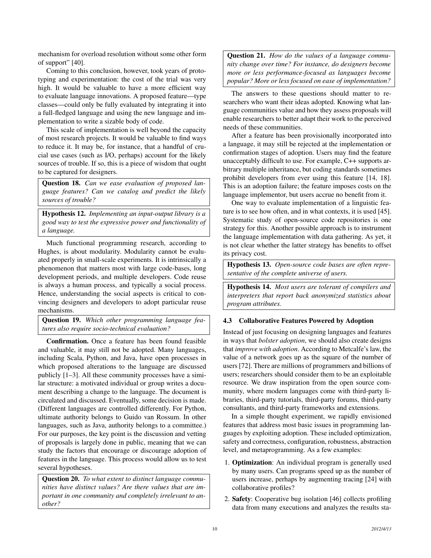mechanism for overload resolution without some other form of support" [40].

Coming to this conclusion, however, took years of prototyping and experimentation: the cost of the trial was very high. It would be valuable to have a more efficient way to evaluate language innovations. A proposed feature—type classes—could only be fully evaluated by integrating it into a full-fledged language and using the new language and implementation to write a sizable body of code.

This scale of implementation is well beyond the capacity of most research projects. It would be valuable to find ways to reduce it. It may be, for instance, that a handful of crucial use cases (such as I/O, perhaps) account for the likely sources of trouble. If so, this is a piece of wisdom that ought to be captured for designers.

Question 18. *Can we ease evaluation of proposed language features? Can we catalog and predict the likely sources of trouble?*

Hypothesis 12. *Implementing an input-output library is a good way to test the expressive power and functionality of a language.*

Much functional programming research, according to Hughes, is about modularity. Modularity cannot be evaluated properly in small-scale experiments. It is intrinsically a phenomenon that matters most with large code-bases, long development periods, and multiple developers. Code reuse is always a human process, and typically a social process. Hence, understanding the social aspects is critical to convincing designers and developers to adopt particular reuse mechanisms.

Question 19. *Which other programming language features also require socio-technical evaluation?*

Confirmation. Once a feature has been found feasible and valuable, it may still not be adopted. Many languages, including Scala, Python, and Java, have open processes in which proposed alterations to the language are discussed publicly [1–3]. All these community processes have a similar structure: a motivated individual or group writes a document describing a change to the language. The document is circulated and discussed. Eventually, some decision is made. (Different languages are controlled differently. For Python, ultimate authority belongs to Guido van Rossum. In other languages, such as Java, authority belongs to a committee.) For our purposes, the key point is the discussion and vetting of proposals is largely done in public, meaning that we can study the factors that encourage or discourage adoption of features in the language. This process would allow us to test several hypotheses.

Question 20. *To what extent to distinct language communities have distinct values? Are there values that are important in one community and completely irrelevant to another?*

Question 21. *How do the values of a language community change over time? For instance, do designers become more or less performance-focused as languages become popular? More or less focused on ease of implementation?*

The answers to these questions should matter to researchers who want their ideas adopted. Knowing what language communities value and how they assess proposals will enable researchers to better adapt their work to the perceived needs of these communities.

After a feature has been provisionally incorporated into a language, it may still be rejected at the implementation or confirmation stages of adoption. Users may find the feature unacceptably difficult to use. For example, C++ supports arbitrary multiple inheritance, but coding standards sometimes prohibit developers from ever using this feature [14, 18]. This is an adoption failure; the feature imposes costs on the language implementor, but users accrue no benefit from it.

One way to evaluate implementation of a linguistic feature is to see how often, and in what contexts, it is used [45]. Systematic study of open-source code repositories is one strategy for this. Another possible approach is to instrument the language implementation with data gathering. As yet, it is not clear whether the latter strategy has benefits to offset its privacy cost.

Hypothesis 13. *Open-source code bases are often representative of the complete universe of users.*

Hypothesis 14. *Most users are tolerant of compilers and interpreters that report back anonymized statistics about program attributes.*

# 4.3 Collaborative Features Powered by Adoption

Instead of just focusing on designing languages and features in ways that *bolster adoption*, we should also create designs that *improve with adoption*. According to Metcalfe's law, the value of a network goes up as the square of the number of users [72]. There are millions of programmers and billions of users; researchers should consider them to be an exploitable resource. We draw inspiration from the open source community, where modern languages come with third-party libraries, third-party tutorials, third-party forums, third-party consultants, and third-party frameworks and extensions.

In a simple thought experiment, we rapidly envisioned features that address most basic issues in programming languages by exploiting adoption. These included optimization, safety and correctness, configuration, robustness, abstraction level, and metaprogramming. As a few examples:

- 1. Optimization: An individual program is generally used by many users. Can programs speed up as the number of users increase, perhaps by augmenting tracing [24] with collaborative profiles?
- 2. Safety: Cooperative bug isolation [46] collects profiling data from many executions and analyzes the results sta-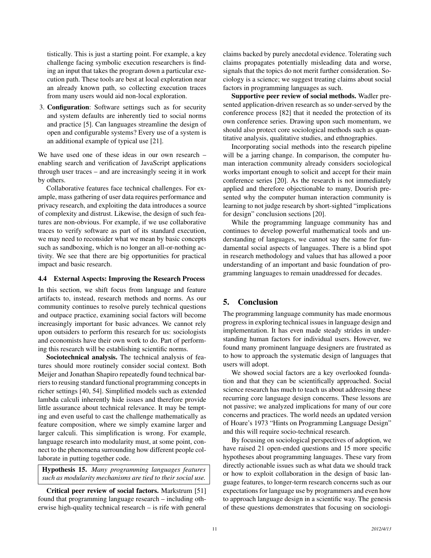tistically. This is just a starting point. For example, a key challenge facing symbolic execution researchers is finding an input that takes the program down a particular execution path. These tools are best at local exploration near an already known path, so collecting execution traces from many users would aid non-local exploration.

3. Configuration: Software settings such as for security and system defaults are inherently tied to social norms and practice [5]. Can languages streamline the design of open and configurable systems? Every use of a system is an additional example of typical use [21].

We have used one of these ideas in our own research – enabling search and verification of JavaScript applications through user traces – and are increasingly seeing it in work by others.

Collaborative features face technical challenges. For example, mass gathering of user data requires performance and privacy research, and exploiting the data introduces a source of complexity and distrust. Likewise, the design of such features are non-obvious. For example, if we use collaborative traces to verify software as part of its standard execution, we may need to reconsider what we mean by basic concepts such as sandboxing, which is no longer an all-or-nothing activity. We see that there are big opportunities for practical impact and basic research.

#### 4.4 External Aspects: Improving the Research Process

In this section, we shift focus from language and feature artifacts to, instead, research methods and norms. As our community continues to resolve purely technical questions and outpace practice, examining social factors will become increasingly important for basic advances. We cannot rely upon outsiders to perform this research for us: sociologists and economists have their own work to do. Part of performing this research will be establishing scientific norms.

Sociotechnical analysis. The technical analysis of features should more routinely consider social context. Both Meijer and Jonathan Shapiro repeatedly found technical barriers to reusing standard functional programming concepts in richer settings [40, 54]. Simplified models such as extended lambda calculi inherently hide issues and therefore provide little assurance about technical relevance. It may be tempting and even useful to cast the challenge mathematically as feature composition, where we simply examine larger and larger calculi. This simplification is wrong. For example, language research into modularity must, at some point, connect to the phenomena surrounding how different people collaborate in putting together code.

Hypothesis 15. *Many programming languages features such as modularity mechanisms are tied to their social use.*

Critical peer review of social factors. Markstrum [51] found that programming language research – including otherwise high-quality technical research – is rife with general claims backed by purely anecdotal evidence. Tolerating such claims propagates potentially misleading data and worse, signals that the topics do not merit further consideration. Sociology is a science; we suggest treating claims about social factors in programming languages as such.

Supportive peer review of social methods. Wadler presented application-driven research as so under-served by the conference process [82] that it needed the protection of its own conference series. Drawing upon such momentum, we should also protect core sociological methods such as quantitative analysis, qualitative studies, and ethnographies.

Incorporating social methods into the research pipeline will be a jarring change. In comparison, the computer human interaction community already considers sociological works important enough to solicit and accept for their main conference series [20]. As the research is not immediately applied and therefore objectionable to many, Dourish presented why the computer human interaction community is learning to not judge research by short-sighted "implications for design" conclusion sections [20].

While the programming language community has and continues to develop powerful mathematical tools and understanding of languages, we cannot say the same for fundamental social aspects of languages. There is a blind spot in research methodology and values that has allowed a poor understanding of an important and basic foundation of programming languages to remain unaddressed for decades.

# 5. Conclusion

The programming language community has made enormous progress in exploring technical issues in language design and implementation. It has even made steady strides in understanding human factors for individual users. However, we found many prominent language designers are frustrated as to how to approach the systematic design of languages that users will adopt.

We showed social factors are a key overlooked foundation and that they can be scientifically approached. Social science research has much to teach us about addressing these recurring core language design concerns. These lessons are not passive; we analyzed implications for many of our core concerns and practices. The world needs an updated version of Hoare's 1973 "Hints on Programming Language Design" and this will require socio-technical research.

By focusing on sociological perspectives of adoption, we have raised 21 open-ended questions and 15 more specific hypotheses about programming languages. These vary from directly actionable issues such as what data we should track or how to exploit collaboration in the design of basic language features, to longer-term research concerns such as our expectations for language use by programmers and even how to approach language design in a scientific way. The genesis of these questions demonstrates that focusing on sociologi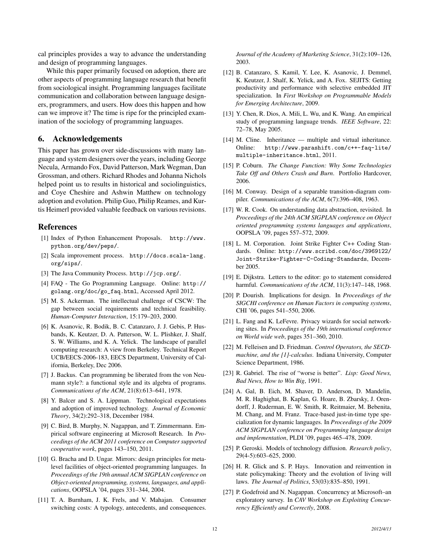cal principles provides a way to advance the understanding and design of programming languages.

While this paper primarily focused on adoption, there are other aspects of programming language research that benefit from sociological insight. Programming languages facilitate communication and collaboration between language designers, programmers, and users. How does this happen and how can we improve it? The time is ripe for the principled examination of the sociology of programming languages.

# 6. Acknowledgements

This paper has grown over side-discussions with many language and system designers over the years, including George Necula, Armando Fox, David Patterson, Mark Wegman, Dan Grossman, and others. Richard Rhodes and Johanna Nichols helped point us to results in historical and sociolinguistics, and Coye Cheshire and Ashwin Matthew on technology adoption and evolution. Philip Guo, Philip Reames, and Kurtis Heimerl provided valuable feedback on various revisions.

#### References

- [1] Index of Python Enhancement Proposals. http://www. python.org/dev/peps/.
- [2] Scala improvement process. http://docs.scala-lang. org/sips/.
- [3] The Java Community Process. http://jcp.org/.
- [4] FAQ The Go Programming Language. Online: http:// golang.org/doc/go\_faq.html, Accessed April 2012.
- [5] M. S. Ackerman. The intellectual challenge of CSCW: The gap between social requirements and technical feasibility. *Human-Computer Interaction*, 15:179–203, 2000.
- [6] K. Asanovic, R. Bodik, B. C. Catanzaro, J. J. Gebis, P. Husbands, K. Keutzer, D. A. Patterson, W. L. Plishker, J. Shalf, S. W. Williams, and K. A. Yelick. The landscape of parallel computing research: A view from Berkeley. Technical Report UCB/EECS-2006-183, EECS Department, University of California, Berkeley, Dec 2006.
- [7] J. Backus. Can programming be liberated from the von Neumann style?: a functional style and its algebra of programs. *Communications of the ACM*, 21(8):613–641, 1978.
- [8] Y. Balcer and S. A. Lippman. Technological expectations and adoption of improved technology. *Journal of Economic Theory*, 34(2):292–318, December 1984.
- [9] C. Bird, B. Murphy, N. Nagappan, and T. Zimmermann. Empirical software engineering at Microsoft Research. In *Proceedings of the ACM 2011 conference on Computer supported cooperative work*, pages 143–150, 2011.
- [10] G. Bracha and D. Ungar. Mirrors: design principles for metalevel facilities of object-oriented programming languages. In *Proceedings of the 19th annual ACM SIGPLAN conference on Object-oriented programming, systems, languages, and applications*, OOPSLA '04, pages 331–344, 2004.
- [11] T. A. Burnham, J. K. Frels, and V. Mahajan. Consumer switching costs: A typology, antecedents, and consequences.

*Journal of the Academy of Marketing Science*, 31(2):109–126, 2003.

- [12] B. Catanzaro, S. Kamil, Y. Lee, K. Asanovic, J. Demmel, K. Keutzer, J. Shalf, K. Yelick, and A. Fox. SEJITS: Getting productivity and performance with selective embedded JIT specialization. In *First Workshop on Programmable Models for Emerging Architecture*, 2009.
- [13] Y. Chen, R. Dios, A. Mili, L. Wu, and K. Wang. An empirical study of programming language trends. *IEEE Software*, 22: 72–78, May 2005.
- [14] M. Cline. Inheritance multiple and virtual inheritance. Online: http://www.parashift.com/c++-faq-lite/ multiple-inheritance.html, 2011.
- [15] P. Coburn. *The Change Function: Why Some Technologies Take Off and Others Crash and Burn*. Portfolio Hardcover, 2006.
- [16] M. Conway. Design of a separable transition-diagram compiler. *Communications of the ACM*, 6(7):396–408, 1963.
- [17] W. R. Cook. On understanding data abstraction, revisited. In *Proceedings of the 24th ACM SIGPLAN conference on Object oriented programming systems languages and applications*, OOPSLA '09, pages 557–572, 2009.
- [18] L. M. Corporation. Joint Strike Fighter C++ Coding Standards. Online: http://www.scribd.com/doc/3969122/ Joint-Strike-Fighter-C-Coding-Standards, December 2005.
- [19] E. Dijkstra. Letters to the editor: go to statement considered harmful. *Communications of the ACM*, 11(3):147–148, 1968.
- [20] P. Dourish. Implications for design. In *Proceedings of the SIGCHI conference on Human Factors in computing systems*, CHI '06, pages 541–550, 2006.
- [21] L. Fang and K. LeFevre. Privacy wizards for social networking sites. In *Proceedings of the 19th international conference on World wide web*, pages 351–360, 2010.
- [22] M. Felleisen and D. Friedman. *Control Operators, the SECDmachine, and the [1]-calculus*. Indiana University, Computer Science Department, 1986.
- [23] R. Gabriel. The rise of "worse is better". *Lisp: Good News, Bad News, How to Win Big*, 1991.
- [24] A. Gal, B. Eich, M. Shaver, D. Anderson, D. Mandelin, M. R. Haghighat, B. Kaplan, G. Hoare, B. Zbarsky, J. Orendorff, J. Ruderman, E. W. Smith, R. Reitmaier, M. Bebenita, M. Chang, and M. Franz. Trace-based just-in-time type specialization for dynamic languages. In *Proceedings of the 2009 ACM SIGPLAN conference on Programming language design and implementation*, PLDI '09, pages 465–478, 2009.
- [25] P. Geroski. Models of technology diffusion. *Research policy*, 29(4-5):603–625, 2000.
- [26] H. R. Glick and S. P. Hays. Innovation and reinvention in state policymaking: Theory and the evolution of living will laws. *The Journal of Politics*, 53(03):835–850, 1991.
- [27] P. Godefroid and N. Nagappan. Concurrency at Microsoft–an exploratory survey. In *CAV Workshop on Exploiting Concurrency Efficiently and Correctly*, 2008.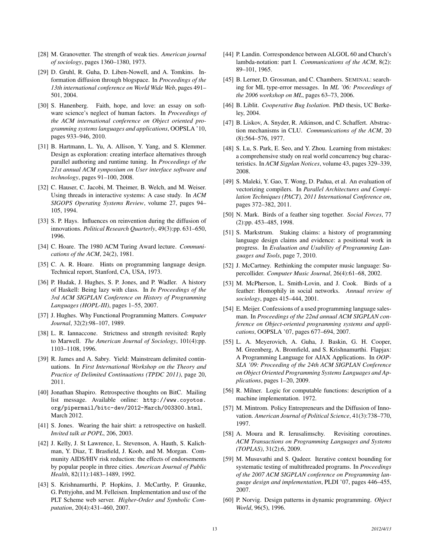- [28] M. Granovetter. The strength of weak ties. *American journal of sociology*, pages 1360–1380, 1973.
- [29] D. Gruhl, R. Guha, D. Liben-Nowell, and A. Tomkins. Information diffusion through blogspace. In *Proceedings of the 13th international conference on World Wide Web*, pages 491– 501, 2004.
- [30] S. Hanenberg. Faith, hope, and love: an essay on software science's neglect of human factors. In *Proceedings of the ACM international conference on Object oriented programming systems languages and applications*, OOPSLA '10, pages 933–946, 2010.
- [31] B. Hartmann, L. Yu, A. Allison, Y. Yang, and S. Klemmer. Design as exploration: creating interface alternatives through parallel authoring and runtime tuning. In *Proceedings of the 21st annual ACM symposium on User interface software and technology*, pages 91–100, 2008.
- [32] C. Hauser, C. Jacobi, M. Theimer, B. Welch, and M. Weiser. Using threads in interactive systems: A case study. In *ACM SIGOPS Operating Systems Review*, volume 27, pages 94– 105, 1994.
- [33] S. P. Hays. Influences on reinvention during the diffusion of innovations. *Political Research Quarterly*, 49(3):pp. 631–650, 1996.
- [34] C. Hoare. The 1980 ACM Turing Award lecture. *Communications of the ACM*, 24(2), 1981.
- [35] C. A. R. Hoare. Hints on programming language design. Technical report, Stanford, CA, USA, 1973.
- [36] P. Hudak, J. Hughes, S. P. Jones, and P. Wadler. A history of Haskell: Being lazy with class. In *In Proceedings of the 3rd ACM SIGPLAN Conference on History of Programming Languages (HOPL-III)*, pages 1–55, 2007.
- [37] J. Hughes. Why Functional Programming Matters. *Computer Journal*, 32(2):98–107, 1989.
- [38] L. R. Iannaccone. Strictness and strength revisited: Reply to Marwell. *The American Journal of Sociology*, 101(4):pp. 1103–1108, 1996.
- [39] R. James and A. Sabry. Yield: Mainstream delimited continuations. In *First International Workshop on the Theory and Practice of Delimited Continuations (TPDC 2011)*, page 20, 2011.
- [40] Jonathan Shapiro. Retrospective thoughts on BitC. Mailing list message. Available online: http://www.coyotos. org/pipermail/bitc-dev/2012-March/003300.html, March 2012.
- [41] S. Jones. Wearing the hair shirt: a retrospective on haskell. *Invited talk at POPL*, 206, 2003.
- [42] J. Kelly, J. St Lawrence, L. Stevenson, A. Hauth, S. Kalichman, Y. Diaz, T. Brasfield, J. Koob, and M. Morgan. Community AIDS/HIV risk reduction: the effects of endorsements by popular people in three cities. *American Journal of Public Health*, 82(11):1483–1489, 1992.
- [43] S. Krishnamurthi, P. Hopkins, J. McCarthy, P. Graunke, G. Pettyjohn, and M. Felleisen. Implementation and use of the PLT Scheme web server. *Higher-Order and Symbolic Computation*, 20(4):431–460, 2007.
- [44] P. Landin. Correspondence between ALGOL 60 and Church's lambda-notation: part I. *Communications of the ACM*, 8(2): 89–101, 1965.
- [45] B. Lerner, D. Grossman, and C. Chambers. SEMINAL: searching for ML type-error messages. In *ML '06: Proceedings of the 2006 workshop on ML*, pages 63–73, 2006.
- [46] B. Liblit. *Cooperative Bug Isolation*. PhD thesis, UC Berkeley, 2004.
- [47] B. Liskov, A. Snyder, R. Atkinson, and C. Schaffert. Abstraction mechanisms in CLU. *Communications of the ACM*, 20 (8):564–576, 1977.
- [48] S. Lu, S. Park, E. Seo, and Y. Zhou. Learning from mistakes: a comprehensive study on real world concurrency bug characteristics. In *ACM Sigplan Notices*, volume 43, pages 329–339, 2008.
- [49] S. Maleki, Y. Gao, T. Wong, D. Padua, et al. An evaluation of vectorizing compilers. In *Parallel Architectures and Compilation Techniques (PACT), 2011 International Conference on*, pages 372–382, 2011.
- [50] N. Mark. Birds of a feather sing together. *Social Forces*, 77 (2):pp. 453–485, 1998.
- [51] S. Markstrum. Staking claims: a history of programming language design claims and evidence: a positional work in progress. In *Evaluation and Usability of Programming Languages and Tools*, page 7, 2010.
- [52] J. McCartney. Rethinking the computer music language: Supercollider. *Computer Music Journal*, 26(4):61–68, 2002.
- [53] M. McPherson, L. Smith-Lovin, and J. Cook. Birds of a feather: Homophily in social networks. *Annual review of sociology*, pages 415–444, 2001.
- [54] E. Meijer. Confessions of a used programming language salesman. In *Proceedings of the 22nd annual ACM SIGPLAN conference on Object-oriented programming systems and applications*, OOPSLA '07, pages 677–694, 2007.
- [55] L. A. Meyerovich, A. Guha, J. Baskin, G. H. Cooper, M. Greenberg, A. Bromfield, and S. Krishnamurthi. Flapjax: A Programming Language for AJAX Applications. In *OOP-SLA '09: Proceeding of the 24th ACM SIGPLAN Conference on Object Oriented Programming Systems Languages and Applications*, pages 1–20, 2009.
- [56] R. Milner. Logic for computable functions: description of a machine implementation. 1972.
- [57] M. Mintrom. Policy Entrepreneurs and the Diffusion of Innovation. *American Journal of Political Science*, 41(3):738–770, 1997.
- [58] A. Moura and R. Ierusalimschy. Revisiting coroutines. *ACM Transactions on Programming Languages and Systems (TOPLAS)*, 31(2):6, 2009.
- [59] M. Musuvathi and S. Qadeer. Iterative context bounding for systematic testing of multithreaded programs. In *Proceedings of the 2007 ACM SIGPLAN conference on Programming language design and implementation*, PLDI '07, pages 446–455, 2007.
- [60] P. Norvig. Design patterns in dynamic programming. *Object World*, 96(5), 1996.